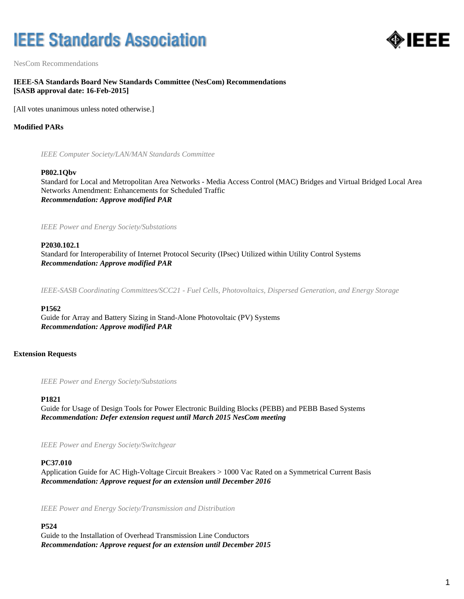# **IEEE Standards Association**



NesCom Recommendations

## **IEEE-SA Standards Board New Standards Committee (NesCom) Recommendations [SASB approval date: 16-Feb-2015]**

[All votes unanimous unless noted otherwise.]

## **Modified PARs**

*IEEE Computer Society/LAN/MAN Standards Committee*

#### **P802.1Qbv**

Standard for Local and Metropolitan Area Networks - Media Access Control (MAC) Bridges and Virtual Bridged Local Area Networks Amendment: Enhancements for Scheduled Traffic *Recommendation: Approve modified PAR*

*IEEE Power and Energy Society/Substations*

#### **P2030.102.1**

Standard for Interoperability of Internet Protocol Security (IPsec) Utilized within Utility Control Systems *Recommendation: Approve modified PAR*

*IEEE-SASB Coordinating Committees/SCC21 - Fuel Cells, Photovoltaics, Dispersed Generation, and Energy Storage*

#### **P1562**

Guide for Array and Battery Sizing in Stand-Alone Photovoltaic (PV) Systems *Recommendation: Approve modified PAR*

#### **Extension Requests**

*IEEE Power and Energy Society/Substations*

#### **P1821**

Guide for Usage of Design Tools for Power Electronic Building Blocks (PEBB) and PEBB Based Systems *Recommendation: Defer extension request until March 2015 NesCom meeting*

*IEEE Power and Energy Society/Switchgear*

#### **PC37.010**

Application Guide for AC High-Voltage Circuit Breakers > 1000 Vac Rated on a Symmetrical Current Basis *Recommendation: Approve request for an extension until December 2016*

*IEEE Power and Energy Society/Transmission and Distribution*

#### **P524**

Guide to the Installation of Overhead Transmission Line Conductors *Recommendation: Approve request for an extension until December 2015*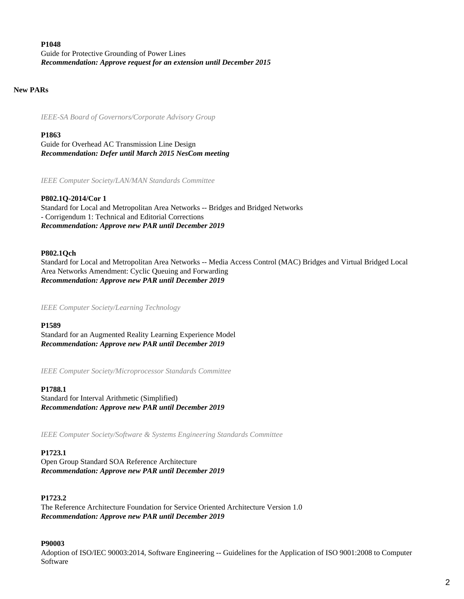# **P1048** Guide for Protective Grounding of Power Lines *Recommendation: Approve request for an extension until December 2015*

## **New PARs**

*IEEE-SA Board of Governors/Corporate Advisory Group*

## **P1863**

Guide for Overhead AC Transmission Line Design *Recommendation: Defer until March 2015 NesCom meeting*

*IEEE Computer Society/LAN/MAN Standards Committee*

# **P802.1Q-2014/Cor 1**

Standard for Local and Metropolitan Area Networks -- Bridges and Bridged Networks - Corrigendum 1: Technical and Editorial Corrections *Recommendation: Approve new PAR until December 2019*

# **P802.1Qch**

Standard for Local and Metropolitan Area Networks -- Media Access Control (MAC) Bridges and Virtual Bridged Local Area Networks Amendment: Cyclic Queuing and Forwarding *Recommendation: Approve new PAR until December 2019*

*IEEE Computer Society/Learning Technology*

**P1589**

Standard for an Augmented Reality Learning Experience Model *Recommendation: Approve new PAR until December 2019*

*IEEE Computer Society/Microprocessor Standards Committee*

## **P1788.1**

Standard for Interval Arithmetic (Simplified) *Recommendation: Approve new PAR until December 2019*

*IEEE Computer Society/Software & Systems Engineering Standards Committee*

## **P1723.1**

Open Group Standard SOA Reference Architecture *Recommendation: Approve new PAR until December 2019*

## **P1723.2**

The Reference Architecture Foundation for Service Oriented Architecture Version 1.0 *Recommendation: Approve new PAR until December 2019*

## **P90003**

Adoption of ISO/IEC 90003:2014, Software Engineering -- Guidelines for the Application of ISO 9001:2008 to Computer Software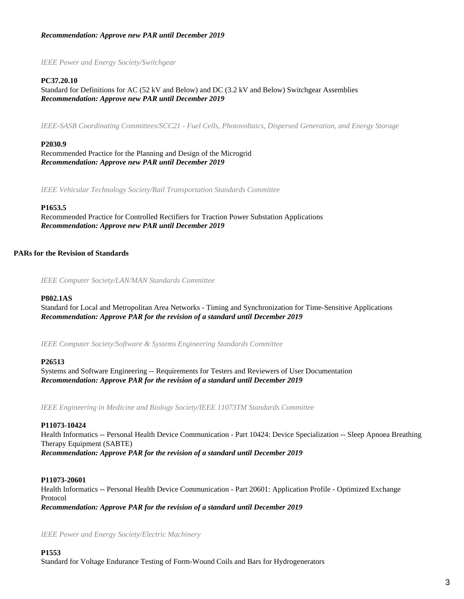## *Recommendation: Approve new PAR until December 2019*

*IEEE Power and Energy Society/Switchgear*

#### **PC37.20.10**

Standard for Definitions for AC (52 kV and Below) and DC (3.2 kV and Below) Switchgear Assemblies *Recommendation: Approve new PAR until December 2019*

*IEEE-SASB Coordinating Committees/SCC21 - Fuel Cells, Photovoltaics, Dispersed Generation, and Energy Storage*

#### **P2030.9**

Recommended Practice for the Planning and Design of the Microgrid *Recommendation: Approve new PAR until December 2019*

*IEEE Vehicular Technology Society/Rail Transportation Standards Committee*

#### **P1653.5**

Recommended Practice for Controlled Rectifiers for Traction Power Substation Applications *Recommendation: Approve new PAR until December 2019*

### **PARs for the Revision of Standards**

*IEEE Computer Society/LAN/MAN Standards Committee*

#### **P802.1AS**

Standard for Local and Metropolitan Area Networks - Timing and Synchronization for Time-Sensitive Applications *Recommendation: Approve PAR for the revision of a standard until December 2019*

*IEEE Computer Society/Software & Systems Engineering Standards Committee*

#### **P26513**

Systems and Software Engineering -- Requirements for Testers and Reviewers of User Documentation *Recommendation: Approve PAR for the revision of a standard until December 2019*

*IEEE Engineering in Medicine and Biology Society/IEEE 11073TM Standards Committee*

#### **P11073-10424**

Health Informatics -- Personal Health Device Communication - Part 10424: Device Specialization -- Sleep Apnoea Breathing Therapy Equipment (SABTE) *Recommendation: Approve PAR for the revision of a standard until December 2019*

#### **P11073-20601**

Health Informatics -- Personal Health Device Communication - Part 20601: Application Profile - Optimized Exchange Protocol *Recommendation: Approve PAR for the revision of a standard until December 2019*

*IEEE Power and Energy Society/Electric Machinery*

**P1553** Standard for Voltage Endurance Testing of Form-Wound Coils and Bars for Hydrogenerators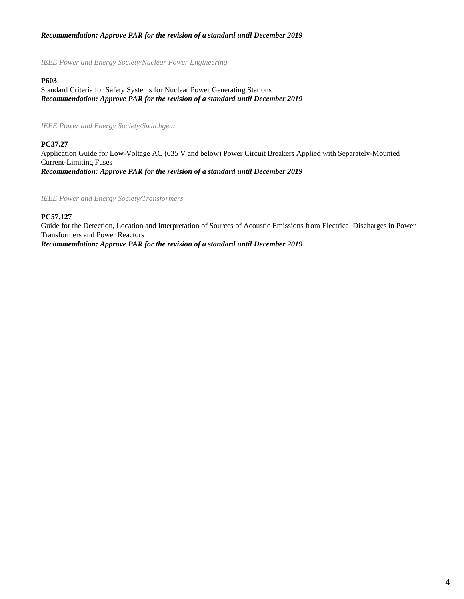# *Recommendation: Approve PAR for the revision of a standard until December 2019*

*IEEE Power and Energy Society/Nuclear Power Engineering*

#### **P603**

Standard Criteria for Safety Systems for Nuclear Power Generating Stations *Recommendation: Approve PAR for the revision of a standard until December 2019*

*IEEE Power and Energy Society/Switchgear*

#### **PC37.27**

Application Guide for Low-Voltage AC (635 V and below) Power Circuit Breakers Applied with Separately-Mounted Current-Limiting Fuses *Recommendation: Approve PAR for the revision of a standard until December 2019*

*IEEE Power and Energy Society/Transformers*

#### **PC57.127**

Guide for the Detection, Location and Interpretation of Sources of Acoustic Emissions from Electrical Discharges in Power Transformers and Power Reactors *Recommendation: Approve PAR for the revision of a standard until December 2019*